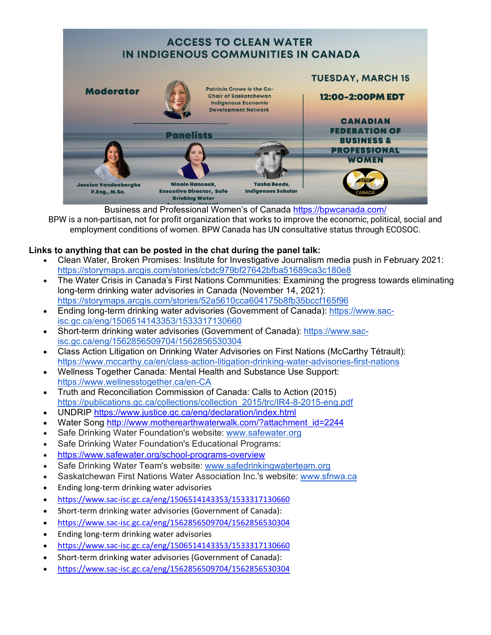

Business and Professional Women's of Canada<https://bpwcanada.com/>

BPW is a non-partisan, not for profit organization that works to improve the economic, political, social and employment conditions of women. BPW Canada has UN consultative status through ECOSOC.

## **Links to anything that can be posted in the chat during the panel talk:**

- Clean Water, Broken Promises: Institute for Investigative Journalism media push in February 2021: <https://storymaps.arcgis.com/stories/cbdc979bf27642bfba51689ca3c180e8>
- The Water Crisis in Canada's First Nations Communities: Examining the progress towards eliminating long-term drinking water advisories in Canada (November 14, 2021): <https://storymaps.arcgis.com/stories/52a5610cca604175b8fb35bccf165f96>
- Ending long-term drinking water advisories (Government of Canada): [https://www.sac](https://www.sac-isc.gc.ca/eng/1506514143353/1533317130660)[isc.gc.ca/eng/1506514143353/1533317130660](https://www.sac-isc.gc.ca/eng/1506514143353/1533317130660)
- Short-term drinking water advisories (Government of Canada): [https://www.sac](https://www.sac-isc.gc.ca/eng/1562856509704/1562856530304)[isc.gc.ca/eng/1562856509704/1562856530304](https://www.sac-isc.gc.ca/eng/1562856509704/1562856530304)
- Class Action Litigation on Drinking Water Advisories on First Nations (McCarthy Tétrault): <https://www.mccarthy.ca/en/class-action-litigation-drinking-water-advisories-first-nations>
- Wellness Together Canada: Mental Health and Substance Use Support: <https://www.wellnesstogether.ca/en-CA>
- Truth and Reconciliation Commission of Canada: Calls to Action (2015) [https://publications.gc.ca/collections/collection\\_2015/trc/IR4-8-2015-eng.pdf](https://publications.gc.ca/collections/collection_2015/trc/IR4-8-2015-eng.pdf)
- UNDRIP<https://www.justice.gc.ca/eng/declaration/index.html>
- Water Song [http://www.motherearthwaterwalk.com/?attachment\\_id=2244](http://www.motherearthwaterwalk.com/?attachment_id=2244)
- Safe Drinking Water Foundation's website: [www.safewater.org](http://www.safewater.org/)
- Safe Drinking Water Foundation's Educational Programs:
- <https://www.safewater.org/school-programs-overview>
- Safe Drinking Water Team's website: [www.safedrinkingwaterteam.org](http://www.safedrinkingwaterteam.org/)
- Saskatchewan First Nations Water Association Inc.'s website: [www.sfnwa.ca](http://www.sfnwa.ca/)
- Ending long-term drinking water advisories
- <https://www.sac-isc.gc.ca/eng/1506514143353/1533317130660>
- Short-term drinking water advisories (Government of Canada):
- <https://www.sac-isc.gc.ca/eng/1562856509704/1562856530304>
- Ending long-term drinking water advisories
- <https://www.sac-isc.gc.ca/eng/1506514143353/1533317130660>
- Short-term drinking water advisories (Government of Canada):
- <https://www.sac-isc.gc.ca/eng/1562856509704/1562856530304>